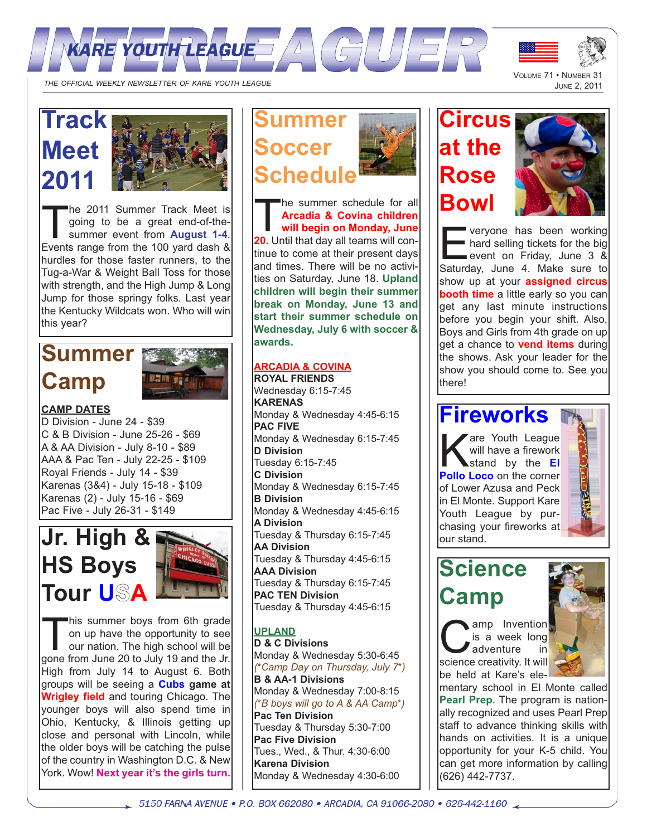



THE OFFICIAL WEEKLY NEWSLETTER OF KARE YOUTH LEAGUE

# **Track Meet 2011**



The 2011 Summer Track Meet is<br>going to be a great end-of-the-<br>summer event from **August 1-4**.<br>Events range from the 100 yard dash & going to be a great end-of-the-Events range from the 100 yard dash & hurdles for those faster runners, to the Tug-a-War & Weight Ball Toss for those with strength, and the High Jump & Long Jump for those springy folks. Last year the Kentucky Wildcats won. Who will win this year?

# **Summer Camp**



### **CAMP DATES**

D Division - June 24 - \$39 C & B Division - June 25-26 - \$69 A & AA Division - July 8-10 - \$89 AAA & Pac Ten - July 22-25 - \$109 Royal Friends - July 14 - \$39 Karenas (3&4) - July 15-18 - \$109 Karenas (2) - July 15-16 - \$69 Pac Five - July 26-31 - \$149



This summer boys from 6th grade on up have the opportunity to see our nation. The high school will be gone from June 20 to July 19 and the Jr. High from July 14 to August 6. Both groups will be seeing a **Cubs game at Wrigley field** and touring Chicago. The younger boys will also spend time in Ohio, Kentucky, & Illinois getting up close and personal with Lincoln, while the older boys will be catching the pulse of the country in Washington D.C. & New York. Wow! **Next year it's the girls turn.**



The summer schedule for all **Arcadia & Covina children will begin on Monday, June 20.** Until that day all teams will continue to come at their present days and times. There will be no activities on Saturday, June 18. **Upland children will begin their summer break on Monday, June 13 and start their summer schedule on Wednesday, July 6 with soccer & awards.**

### **ARCADIA & COVINA**

**ROYAL FRIENDS** Wednesday 6:15-7:45 **KARENAS** Monday & Wednesday 4:45-6:15 **PAC FIVE** Monday & Wednesday 6:15-7:45 **D Division** Tuesday 6:15-7:45 **C Division** Monday & Wednesday 6:15-7:45 **B Division** Monday & Wednesday 4:45-6:15 **A Division** Tuesday & Thursday 6:15-7:45 **AA Division** Tuesday & Thursday 4:45-6:15 **AAA Division** Tuesday & Thursday 6:15-7:45 **PAC TEN Division** Tuesday & Thursday 4:45-6:15

#### **UPLAND**

**D & C Divisions** Monday & Wednesday 5:30-6:45 *(\*Camp Day on Thursday, July 7\*)* **B & AA-1 Divisions** Monday & Wednesday 7:00-8:15 *(\*B boys will go to A & AA Camp\*)* **Pac Ten Division** Tuesday & Thursday 5:30-7:00 **Pac Five Division** Tues., Wed., & Thur. 4:30-6:00 **Karena Division** Monday & Wednesday 4:30-6:00

# **Circus at the Rose Bowl**



veryone has been working<br>hard selling tickets for the big<br>event on Friday, June 3 &<br>Saturday, June 4, Make sure to **hard selling tickets for the big** Saturday, June 4. Make sure to show up at your **assigned circus booth time** a little early so you can get any last minute instructions before you begin your shift. Also, Boys and Girls from 4th grade on up get a chance to **vend items** during the shows. Ask your leader for the show you should come to. See you there!

## **Fireworks**

are Youth League will have a firework stand by the **El Pollo Loco** on the corner of Lower Azusa and Peck in El Monte. Support Kare Youth League by purchasing your fireworks at our stand.



# **Science Camp**

**C** is a week long<br>science creativity. It will is a week long  $\blacksquare$  adventure be held at Kare's ele-



mentary school in El Monte called **Pearl Prep**. The program is nationally recognized and uses Pearl Prep staff to advance thinking skills with hands on activities. It is a unique opportunity for your K-5 child. You can get more information by calling (626) 442-7737.